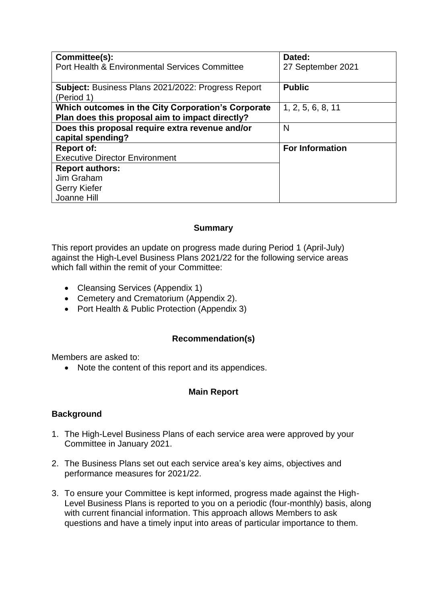| Committee(s):                                                                                         | Dated:                 |
|-------------------------------------------------------------------------------------------------------|------------------------|
| Port Health & Environmental Services Committee                                                        | 27 September 2021      |
| Subject: Business Plans 2021/2022: Progress Report<br>(Period 1)                                      | <b>Public</b>          |
| Which outcomes in the City Corporation's Corporate<br>Plan does this proposal aim to impact directly? | 1, 2, 5, 6, 8, 11      |
| Does this proposal require extra revenue and/or                                                       | N                      |
| capital spending?                                                                                     |                        |
| <b>Report of:</b>                                                                                     | <b>For Information</b> |
| <b>Executive Director Environment</b>                                                                 |                        |
| <b>Report authors:</b>                                                                                |                        |
| Jim Graham                                                                                            |                        |
| <b>Gerry Kiefer</b>                                                                                   |                        |
| Joanne Hill                                                                                           |                        |

## **Summary**

This report provides an update on progress made during Period 1 (April-July) against the High-Level Business Plans 2021/22 for the following service areas which fall within the remit of your Committee:

- Cleansing Services (Appendix 1)
- Cemetery and Crematorium (Appendix 2).
- Port Health & Public Protection (Appendix 3)

## **Recommendation(s)**

Members are asked to:

• Note the content of this report and its appendices.

## **Main Report**

## **Background**

- 1. The High-Level Business Plans of each service area were approved by your Committee in January 2021.
- 2. The Business Plans set out each service area's key aims, objectives and performance measures for 2021/22.
- 3. To ensure your Committee is kept informed, progress made against the High-Level Business Plans is reported to you on a periodic (four-monthly) basis, along with current financial information. This approach allows Members to ask questions and have a timely input into areas of particular importance to them.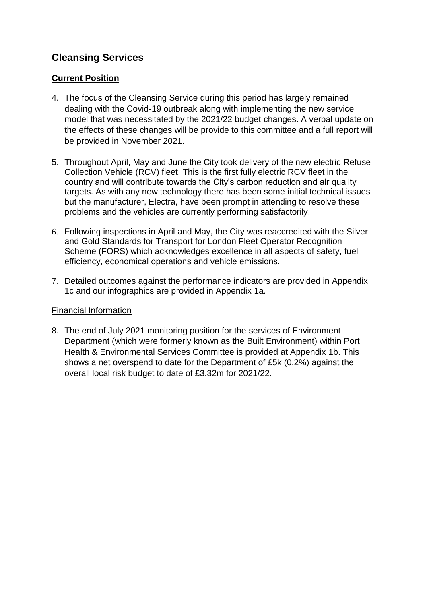## **Cleansing Services**

## **Current Position**

- 4. The focus of the Cleansing Service during this period has largely remained dealing with the Covid-19 outbreak along with implementing the new service model that was necessitated by the 2021/22 budget changes. A verbal update on the effects of these changes will be provide to this committee and a full report will be provided in November 2021.
- 5. Throughout April, May and June the City took delivery of the new electric Refuse Collection Vehicle (RCV) fleet. This is the first fully electric RCV fleet in the country and will contribute towards the City's carbon reduction and air quality targets. As with any new technology there has been some initial technical issues but the manufacturer, Electra, have been prompt in attending to resolve these problems and the vehicles are currently performing satisfactorily.
- 6. Following inspections in April and May, the City was reaccredited with the Silver and Gold Standards for Transport for London Fleet Operator Recognition Scheme (FORS) which acknowledges excellence in all aspects of safety, fuel efficiency, economical operations and vehicle emissions.
- 7. Detailed outcomes against the performance indicators are provided in Appendix 1c and our infographics are provided in Appendix 1a.

## Financial Information

8. The end of July 2021 monitoring position for the services of Environment Department (which were formerly known as the Built Environment) within Port Health & Environmental Services Committee is provided at Appendix 1b. This shows a net overspend to date for the Department of £5k (0.2%) against the overall local risk budget to date of £3.32m for 2021/22.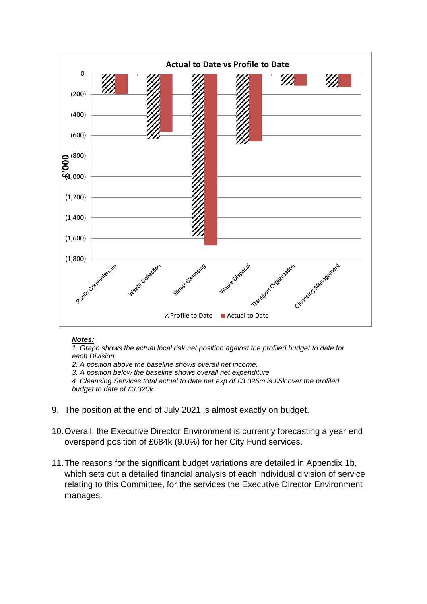

#### *Notes:*

*1. Graph shows the actual local risk net position against the profiled budget to date for each Division.*

*2. A position above the baseline shows overall net income.*

*3. A position below the baseline shows overall net expenditure.*

*4. Cleansing Services total actual to date net exp of £3.325m is £5k over the profiled budget to date of £3,320k.*

- 9. The position at the end of July 2021 is almost exactly on budget.
- 10.Overall, the Executive Director Environment is currently forecasting a year end overspend position of £684k (9.0%) for her City Fund services.
- 11.The reasons for the significant budget variations are detailed in Appendix 1b, which sets out a detailed financial analysis of each individual division of service relating to this Committee, for the services the Executive Director Environment manages.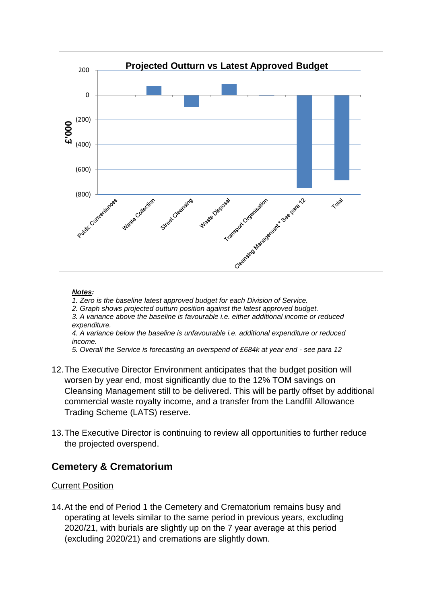

#### *Notes:*

*1. Zero is the baseline latest approved budget for each Division of Service.*

*2. Graph shows projected outturn position against the latest approved budget.*

*3. A variance above the baseline is favourable i.e. either additional income or reduced expenditure.*

*4. A variance below the baseline is unfavourable i.e. additional expenditure or reduced income.*

*5. Overall the Service is forecasting an overspend of £684k at year end - see para 12*

- 12.The Executive Director Environment anticipates that the budget position will worsen by year end, most significantly due to the 12% TOM savings on Cleansing Management still to be delivered. This will be partly offset by additional commercial waste royalty income, and a transfer from the Landfill Allowance Trading Scheme (LATS) reserve.
- 13.The Executive Director is continuing to review all opportunities to further reduce the projected overspend.

## **Cemetery & Crematorium**

### Current Position

14.At the end of Period 1 the Cemetery and Crematorium remains busy and operating at levels similar to the same period in previous years, excluding 2020/21, with burials are slightly up on the 7 year average at this period (excluding 2020/21) and cremations are slightly down.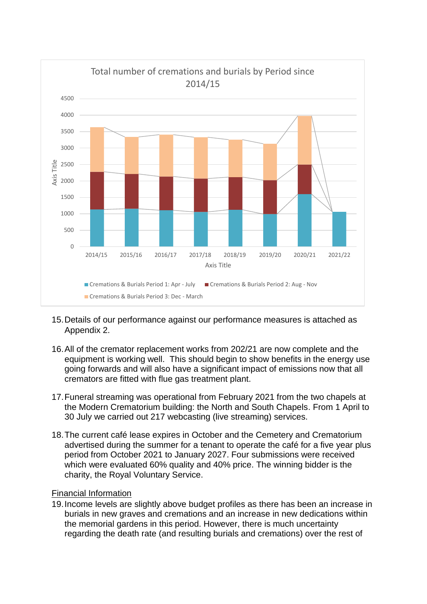

- 15.Details of our performance against our performance measures is attached as Appendix 2.
- 16.All of the cremator replacement works from 202/21 are now complete and the equipment is working well. This should begin to show benefits in the energy use going forwards and will also have a significant impact of emissions now that all cremators are fitted with flue gas treatment plant.
- 17.Funeral streaming was operational from February 2021 from the two chapels at the Modern Crematorium building: the North and South Chapels. From 1 April to 30 July we carried out 217 webcasting (live streaming) services.
- 18.The current café lease expires in October and the Cemetery and Crematorium advertised during the summer for a tenant to operate the café for a five year plus period from October 2021 to January 2027. Four submissions were received which were evaluated 60% quality and 40% price. The winning bidder is the charity, the Royal Voluntary Service.

#### Financial Information

19.Income levels are slightly above budget profiles as there has been an increase in burials in new graves and cremations and an increase in new dedications within the memorial gardens in this period. However, there is much uncertainty regarding the death rate (and resulting burials and cremations) over the rest of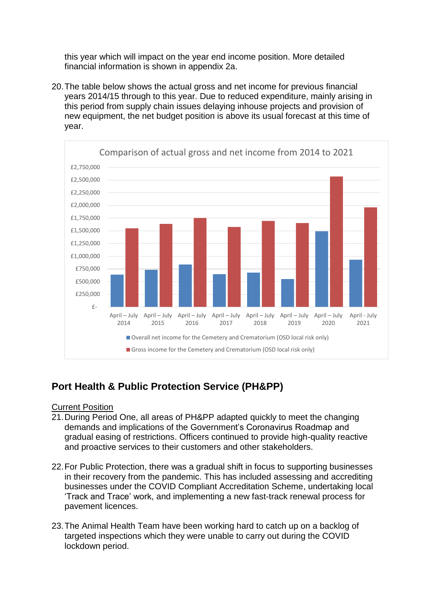this year which will impact on the year end income position. More detailed financial information is shown in appendix 2a.

20.The table below shows the actual gross and net income for previous financial years 2014/15 through to this year. Due to reduced expenditure, mainly arising in this period from supply chain issues delaying inhouse projects and provision of new equipment, the net budget position is above its usual forecast at this time of year.



# **Port Health & Public Protection Service (PH&PP)**

### Current Position

- 21.During Period One, all areas of PH&PP adapted quickly to meet the changing demands and implications of the Government's Coronavirus Roadmap and gradual easing of restrictions. Officers continued to provide high-quality reactive and proactive services to their customers and other stakeholders.
- 22.For Public Protection, there was a gradual shift in focus to supporting businesses in their recovery from the pandemic. This has included assessing and accrediting businesses under the COVID Compliant Accreditation Scheme, undertaking local 'Track and Trace' work, and implementing a new fast-track renewal process for pavement licences.
- 23.The Animal Health Team have been working hard to catch up on a backlog of targeted inspections which they were unable to carry out during the COVID lockdown period.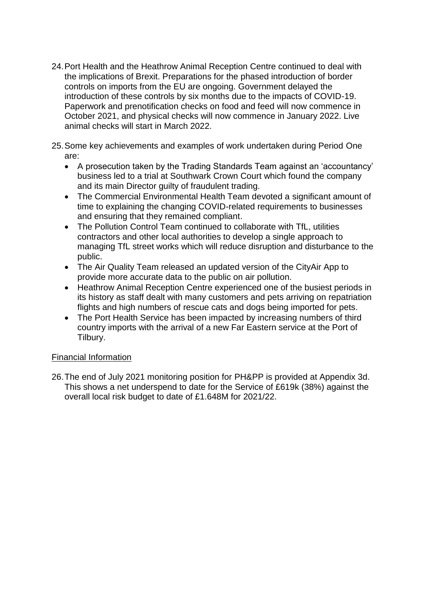- 24.Port Health and the Heathrow Animal Reception Centre continued to deal with the implications of Brexit. Preparations for the phased introduction of border controls on imports from the EU are ongoing. Government delayed the introduction of these controls by six months due to the impacts of COVID-19. Paperwork and prenotification checks on food and feed will now commence in October 2021, and physical checks will now commence in January 2022. Live animal checks will start in March 2022.
- 25.Some key achievements and examples of work undertaken during Period One are:
	- A prosecution taken by the Trading Standards Team against an 'accountancy' business led to a trial at Southwark Crown Court which found the company and its main Director guilty of fraudulent trading.
	- The Commercial Environmental Health Team devoted a significant amount of time to explaining the changing COVID-related requirements to businesses and ensuring that they remained compliant.
	- The Pollution Control Team continued to collaborate with TfL, utilities contractors and other local authorities to develop a single approach to managing TfL street works which will reduce disruption and disturbance to the public.
	- The Air Quality Team released an updated version of the CityAir App to provide more accurate data to the public on air pollution.
	- Heathrow Animal Reception Centre experienced one of the busiest periods in its history as staff dealt with many customers and pets arriving on repatriation flights and high numbers of rescue cats and dogs being imported for pets.
	- The Port Health Service has been impacted by increasing numbers of third country imports with the arrival of a new Far Eastern service at the Port of Tilbury.

## Financial Information

26.The end of July 2021 monitoring position for PH&PP is provided at Appendix 3d. This shows a net underspend to date for the Service of £619k (38%) against the overall local risk budget to date of £1.648M for 2021/22.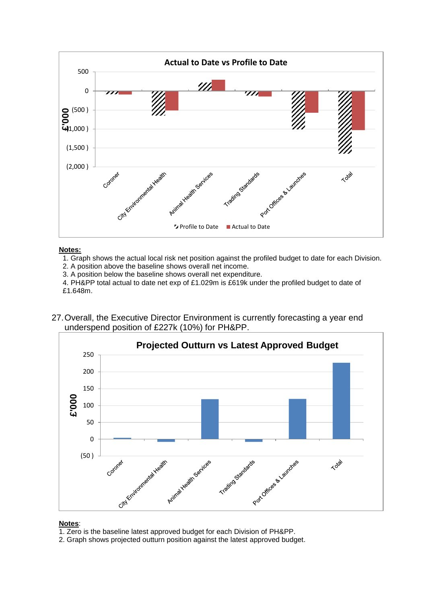

#### **Notes:**

1. Graph shows the actual local risk net position against the profiled budget to date for each Division.

2. A position above the baseline shows overall net income.

3. A position below the baseline shows overall net expenditure.

4. PH&PP total actual to date net exp of £1.029m is £619k under the profiled budget to date of £1.648m.

27.Overall, the Executive Director Environment is currently forecasting a year end underspend position of £227k (10%) for PH&PP.



#### **Notes**:

- 1. Zero is the baseline latest approved budget for each Division of PH&PP.
- 2. Graph shows projected outturn position against the latest approved budget.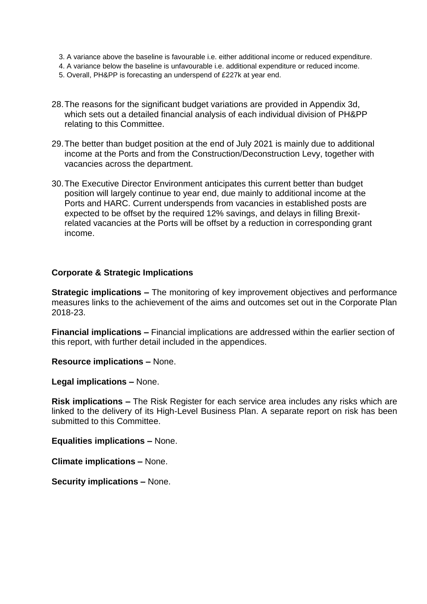- 3. A variance above the baseline is favourable i.e. either additional income or reduced expenditure.
- 4. A variance below the baseline is unfavourable i.e. additional expenditure or reduced income.
- 5. Overall, PH&PP is forecasting an underspend of £227k at year end.
- 28.The reasons for the significant budget variations are provided in Appendix 3d, which sets out a detailed financial analysis of each individual division of PH&PP relating to this Committee.
- 29.The better than budget position at the end of July 2021 is mainly due to additional income at the Ports and from the Construction/Deconstruction Levy, together with vacancies across the department.
- 30.The Executive Director Environment anticipates this current better than budget position will largely continue to year end, due mainly to additional income at the Ports and HARC. Current underspends from vacancies in established posts are expected to be offset by the required 12% savings, and delays in filling Brexitrelated vacancies at the Ports will be offset by a reduction in corresponding grant income.

#### **Corporate & Strategic Implications**

**Strategic implications –** The monitoring of key improvement objectives and performance measures links to the achievement of the aims and outcomes set out in the Corporate Plan 2018-23.

**Financial implications –** Financial implications are addressed within the earlier section of this report, with further detail included in the appendices.

**Resource implications –** None.

**Legal implications –** None.

**Risk implications –** The Risk Register for each service area includes any risks which are linked to the delivery of its High-Level Business Plan. A separate report on risk has been submitted to this Committee.

**Equalities implications –** None.

**Climate implications –** None.

**Security implications –** None.